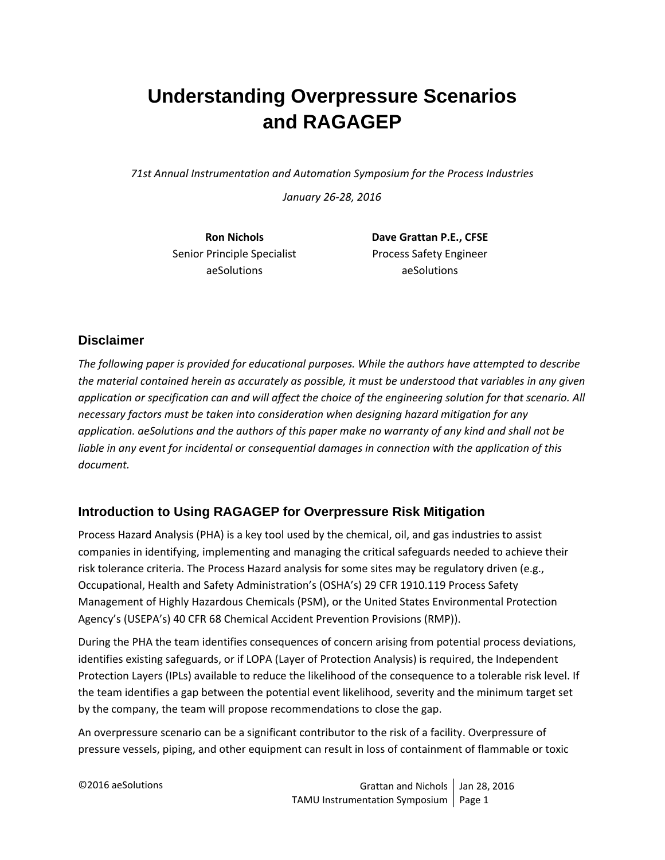# **Understanding Overpressure Scenarios and RAGAGEP**

*71st Annual Instrumentation and Automation Symposium for the Process Industries*

*January 26‐28, 2016*

Senior Principle Specialist **Brocess** Safety Engineer aeSolutions aeSolutions

**Ron Nichols Dave Grattan P.E., CFSE**

## **Disclaimer**

*The following paper is provided for educational purposes. While the authors have attempted to describe* the material contained herein as accurately as possible, it must be understood that variables in any given application or specification can and will affect the choice of the engineering solution for that scenario. All *necessary factors must be taken into consideration when designing hazard mitigation for any* application. aeSolutions and the authors of this paper make no warranty of any kind and shall not be *liable in any event for incidental or consequential damages in connection with the application of this document.*

# **Introduction to Using RAGAGEP for Overpressure Risk Mitigation**

Process Hazard Analysis (PHA) is a key tool used by the chemical, oil, and gas industries to assist companies in identifying, implementing and managing the critical safeguards needed to achieve their risk tolerance criteria. The Process Hazard analysis for some sites may be regulatory driven (e.g., Occupational, Health and Safety Administration's (OSHA's) 29 CFR 1910.119 Process Safety Management of Highly Hazardous Chemicals (PSM), or the United States Environmental Protection Agency's (USEPA's) 40 CFR 68 Chemical Accident Prevention Provisions (RMP)).

During the PHA the team identifies consequences of concern arising from potential process deviations, identifies existing safeguards, or if LOPA (Layer of Protection Analysis) is required, the Independent Protection Layers (IPLs) available to reduce the likelihood of the consequence to a tolerable risk level. If the team identifies a gap between the potential event likelihood, severity and the minimum target set by the company, the team will propose recommendations to close the gap.

An overpressure scenario can be a significant contributor to the risk of a facility. Overpressure of pressure vessels, piping, and other equipment can result in loss of containment of flammable or toxic

©2016 aeSolutions Grattan and Nichols Jan 28, 2016 TAMU Instrumentation Symposium Page 1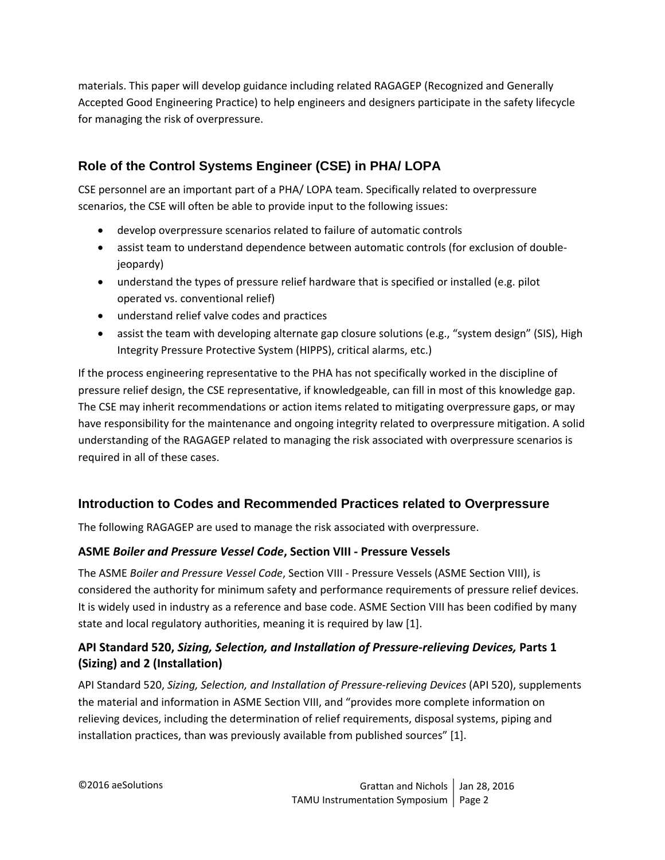materials. This paper will develop guidance including related RAGAGEP (Recognized and Generally Accepted Good Engineering Practice) to help engineers and designers participate in the safety lifecycle for managing the risk of overpressure.

# **Role of the Control Systems Engineer (CSE) in PHA/ LOPA**

CSE personnel are an important part of a PHA/ LOPA team. Specifically related to overpressure scenarios, the CSE will often be able to provide input to the following issues:

- develop overpressure scenarios related to failure of automatic controls
- assist team to understand dependence between automatic controls (for exclusion of double‐ jeopardy)
- understand the types of pressure relief hardware that is specified or installed (e.g. pilot operated vs. conventional relief)
- understand relief valve codes and practices
- assist the team with developing alternate gap closure solutions (e.g., "system design" (SIS), High Integrity Pressure Protective System (HIPPS), critical alarms, etc.)

If the process engineering representative to the PHA has not specifically worked in the discipline of pressure relief design, the CSE representative, if knowledgeable, can fill in most of this knowledge gap. The CSE may inherit recommendations or action items related to mitigating overpressure gaps, or may have responsibility for the maintenance and ongoing integrity related to overpressure mitigation. A solid understanding of the RAGAGEP related to managing the risk associated with overpressure scenarios is required in all of these cases.

## **Introduction to Codes and Recommended Practices related to Overpressure**

The following RAGAGEP are used to manage the risk associated with overpressure.

#### **ASME** *Boiler and Pressure Vessel Code***, Section VIII ‐ Pressure Vessels**

The ASME *Boiler and Pressure Vessel Code*, Section VIII ‐ Pressure Vessels (ASME Section VIII), is considered the authority for minimum safety and performance requirements of pressure relief devices. It is widely used in industry as a reference and base code. ASME Section VIII has been codified by many state and local regulatory authorities, meaning it is required by law [1].

# **API Standard 520,** *Sizing, Selection, and Installation of Pressure‐relieving Devices,* **Parts 1 (Sizing) and 2 (Installation)**

API Standard 520, *Sizing, Selection, and Installation of Pressure‐relieving Devices* (API 520), supplements the material and information in ASME Section VIII, and "provides more complete information on relieving devices, including the determination of relief requirements, disposal systems, piping and installation practices, than was previously available from published sources" [1].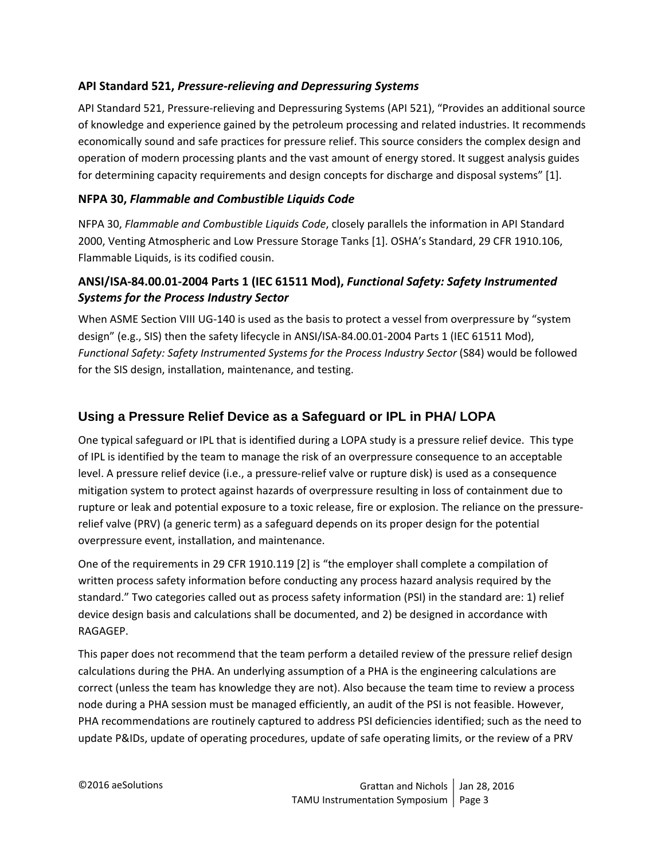## **API Standard 521,** *Pressure‐relieving and Depressuring Systems*

API Standard 521, Pressure‐relieving and Depressuring Systems (API 521), "Provides an additional source of knowledge and experience gained by the petroleum processing and related industries. It recommends economically sound and safe practices for pressure relief. This source considers the complex design and operation of modern processing plants and the vast amount of energy stored. It suggest analysis guides for determining capacity requirements and design concepts for discharge and disposal systems" [1].

## **NFPA 30,** *Flammable and Combustible Liquids Code*

NFPA 30, *Flammable and Combustible Liquids Code*, closely parallels the information in API Standard 2000, Venting Atmospheric and Low Pressure Storage Tanks [1]. OSHA's Standard, 29 CFR 1910.106, Flammable Liquids, is its codified cousin.

# **ANSI/ISA‐84.00.01‐2004 Parts 1 (IEC 61511 Mod),** *Functional Safety: Safety Instrumented Systems for the Process Industry Sector*

When ASME Section VIII UG-140 is used as the basis to protect a vessel from overpressure by "system design" (e.g., SIS) then the safety lifecycle in ANSI/ISA‐84.00.01‐2004 Parts 1 (IEC 61511 Mod), *Functional Safety: Safety Instrumented Systems for the Process Industry Sector* (S84) would be followed for the SIS design, installation, maintenance, and testing.

# **Using a Pressure Relief Device as a Safeguard or IPL in PHA/ LOPA**

One typical safeguard or IPL that is identified during a LOPA study is a pressure relief device. This type of IPL is identified by the team to manage the risk of an overpressure consequence to an acceptable level. A pressure relief device (i.e., a pressure‐relief valve or rupture disk) is used as a consequence mitigation system to protect against hazards of overpressure resulting in loss of containment due to rupture or leak and potential exposure to a toxic release, fire or explosion. The reliance on the pressure‐ relief valve (PRV) (a generic term) as a safeguard depends on its proper design for the potential overpressure event, installation, and maintenance.

One of the requirements in 29 CFR 1910.119 [2] is "the employer shall complete a compilation of written process safety information before conducting any process hazard analysis required by the standard." Two categories called out as process safety information (PSI) in the standard are: 1) relief device design basis and calculations shall be documented, and 2) be designed in accordance with RAGAGEP.

This paper does not recommend that the team perform a detailed review of the pressure relief design calculations during the PHA. An underlying assumption of a PHA is the engineering calculations are correct (unless the team has knowledge they are not). Also because the team time to review a process node during a PHA session must be managed efficiently, an audit of the PSI is not feasible. However, PHA recommendations are routinely captured to address PSI deficiencies identified; such as the need to update P&IDs, update of operating procedures, update of safe operating limits, or the review of a PRV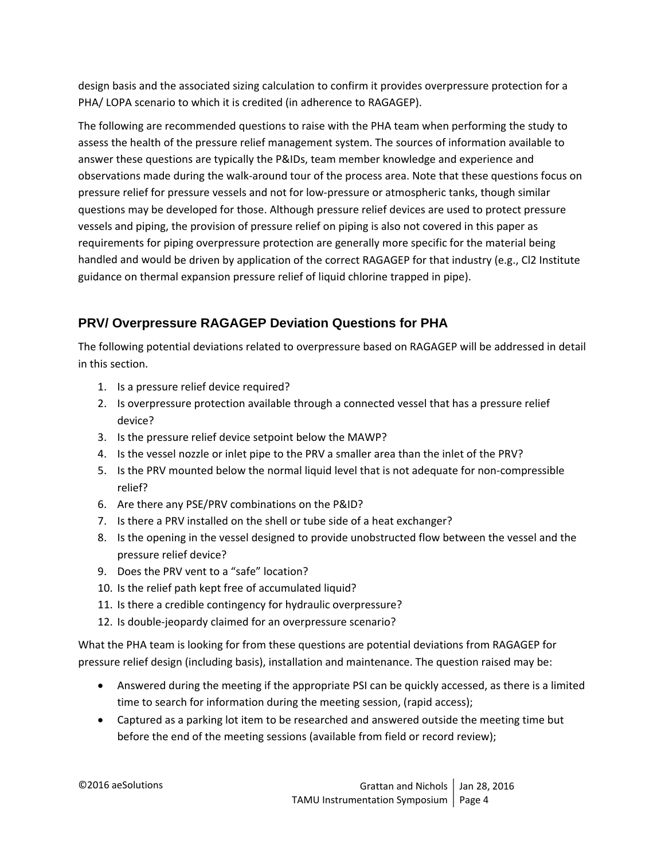design basis and the associated sizing calculation to confirm it provides overpressure protection for a PHA/ LOPA scenario to which it is credited (in adherence to RAGAGEP).

The following are recommended questions to raise with the PHA team when performing the study to assess the health of the pressure relief management system. The sources of information available to answer these questions are typically the P&IDs, team member knowledge and experience and observations made during the walk‐around tour of the process area. Note that these questions focus on pressure relief for pressure vessels and not for low‐pressure or atmospheric tanks, though similar questions may be developed for those. Although pressure relief devices are used to protect pressure vessels and piping, the provision of pressure relief on piping is also not covered in this paper as requirements for piping overpressure protection are generally more specific for the material being handled and would be driven by application of the correct RAGAGEP for that industry (e.g., Cl2 Institute guidance on thermal expansion pressure relief of liquid chlorine trapped in pipe).

# **PRV/ Overpressure RAGAGEP Deviation Questions for PHA**

The following potential deviations related to overpressure based on RAGAGEP will be addressed in detail in this section.

- 1. Is a pressure relief device required?
- 2. Is overpressure protection available through a connected vessel that has a pressure relief device?
- 3. Is the pressure relief device setpoint below the MAWP?
- 4. Is the vessel nozzle or inlet pipe to the PRV a smaller area than the inlet of the PRV?
- 5. Is the PRV mounted below the normal liquid level that is not adequate for non-compressible relief?
- 6. Are there any PSE/PRV combinations on the P&ID?
- 7. Is there a PRV installed on the shell or tube side of a heat exchanger?
- 8. Is the opening in the vessel designed to provide unobstructed flow between the vessel and the pressure relief device?
- 9. Does the PRV vent to a "safe" location?
- 10. Is the relief path kept free of accumulated liquid?
- 11. Is there a credible contingency for hydraulic overpressure?
- 12. Is double-jeopardy claimed for an overpressure scenario?

What the PHA team is looking for from these questions are potential deviations from RAGAGEP for pressure relief design (including basis), installation and maintenance. The question raised may be:

- Answered during the meeting if the appropriate PSI can be quickly accessed, as there is a limited time to search for information during the meeting session, (rapid access);
- Captured as a parking lot item to be researched and answered outside the meeting time but before the end of the meeting sessions (available from field or record review);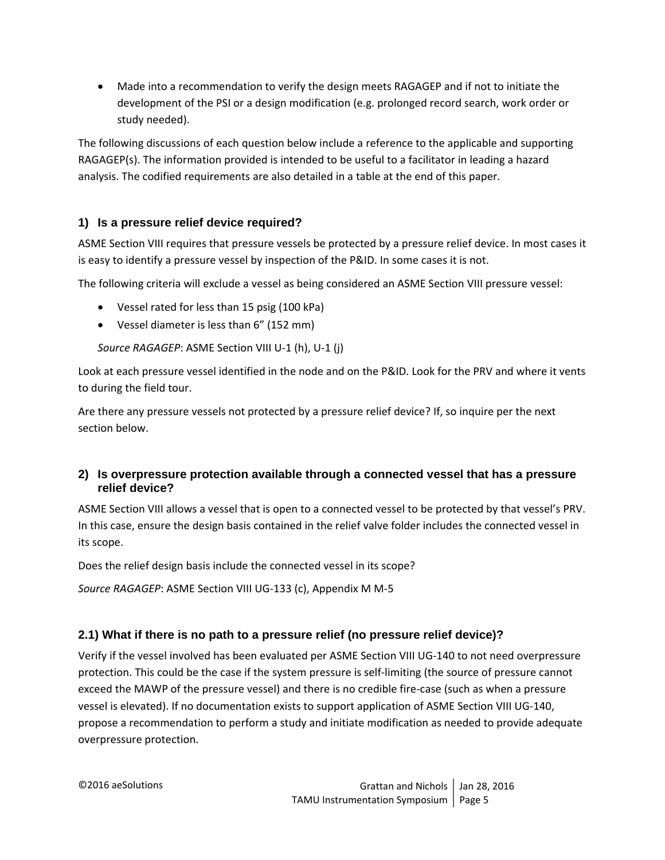Made into a recommendation to verify the design meets RAGAGEP and if not to initiate the development of the PSI or a design modification (e.g. prolonged record search, work order or study needed).

The following discussions of each question below include a reference to the applicable and supporting RAGAGEP(s). The information provided is intended to be useful to a facilitator in leading a hazard analysis. The codified requirements are also detailed in a table at the end of this paper.

# **1) Is a pressure relief device required?**

ASME Section VIII requires that pressure vessels be protected by a pressure relief device. In most cases it is easy to identify a pressure vessel by inspection of the P&ID. In some cases it is not.

The following criteria will exclude a vessel as being considered an ASME Section VIII pressure vessel:

- Vessel rated for less than 15 psig (100 kPa)
- Vessel diameter is less than 6" (152 mm)

*Source RAGAGEP*: ASME Section VIII U‐1 (h), U‐1 (j)

Look at each pressure vessel identified in the node and on the P&ID. Look for the PRV and where it vents to during the field tour.

Are there any pressure vessels not protected by a pressure relief device? If, so inquire per the next section below.

## **2) Is overpressure protection available through a connected vessel that has a pressure relief device?**

ASME Section VIII allows a vessel that is open to a connected vessel to be protected by that vessel's PRV. In this case, ensure the design basis contained in the relief valve folder includes the connected vessel in its scope.

Does the relief design basis include the connected vessel in its scope?

*Source RAGAGEP*: ASME Section VIII UG‐133 (c), Appendix M M‐5

## **2.1) What if there is no path to a pressure relief (no pressure relief device)?**

Verify if the vessel involved has been evaluated per ASME Section VIII UG‐140 to not need overpressure protection. This could be the case if the system pressure is self‐limiting (the source of pressure cannot exceed the MAWP of the pressure vessel) and there is no credible fire‐case (such as when a pressure vessel is elevated). If no documentation exists to support application of ASME Section VIII UG‐140, propose a recommendation to perform a study and initiate modification as needed to provide adequate overpressure protection.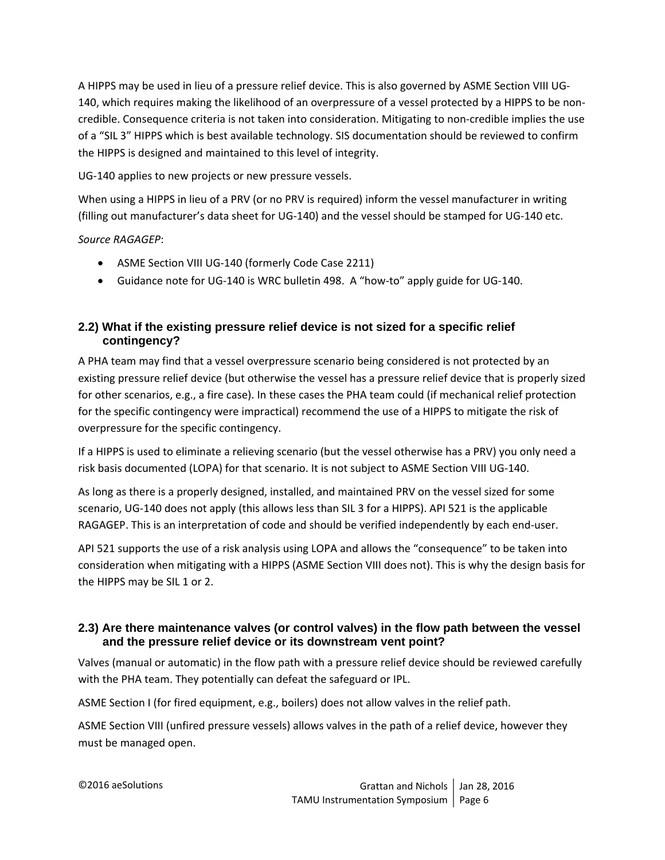A HIPPS may be used in lieu of a pressure relief device. This is also governed by ASME Section VIII UG‐ 140, which requires making the likelihood of an overpressure of a vessel protected by a HIPPS to be non‐ credible. Consequence criteria is not taken into consideration. Mitigating to non‐credible implies the use of a "SIL 3" HIPPS which is best available technology. SIS documentation should be reviewed to confirm the HIPPS is designed and maintained to this level of integrity.

UG‐140 applies to new projects or new pressure vessels.

When using a HIPPS in lieu of a PRV (or no PRV is required) inform the vessel manufacturer in writing (filling out manufacturer's data sheet for UG‐140) and the vessel should be stamped for UG‐140 etc.

## *Source RAGAGEP*:

- ASME Section VIII UG-140 (formerly Code Case 2211)
- Guidance note for UG‐140 is WRC bulletin 498. A "how‐to" apply guide for UG‐140.

## **2.2) What if the existing pressure relief device is not sized for a specific relief contingency?**

A PHA team may find that a vessel overpressure scenario being considered is not protected by an existing pressure relief device (but otherwise the vessel has a pressure relief device that is properly sized for other scenarios, e.g., a fire case). In these cases the PHA team could (if mechanical relief protection for the specific contingency were impractical) recommend the use of a HIPPS to mitigate the risk of overpressure for the specific contingency.

If a HIPPS is used to eliminate a relieving scenario (but the vessel otherwise has a PRV) you only need a risk basis documented (LOPA) for that scenario. It is not subject to ASME Section VIII UG‐140.

As long as there is a properly designed, installed, and maintained PRV on the vessel sized for some scenario, UG‐140 does not apply (this allows less than SIL 3 for a HIPPS). API 521 is the applicable RAGAGEP. This is an interpretation of code and should be verified independently by each end‐user.

API 521 supports the use of a risk analysis using LOPA and allows the "consequence" to be taken into consideration when mitigating with a HIPPS (ASME Section VIII does not). This is why the design basis for the HIPPS may be SIL 1 or 2.

## **2.3) Are there maintenance valves (or control valves) in the flow path between the vessel and the pressure relief device or its downstream vent point?**

Valves (manual or automatic) in the flow path with a pressure relief device should be reviewed carefully with the PHA team. They potentially can defeat the safeguard or IPL.

ASME Section I (for fired equipment, e.g., boilers) does not allow valves in the relief path.

ASME Section VIII (unfired pressure vessels) allows valves in the path of a relief device, however they must be managed open.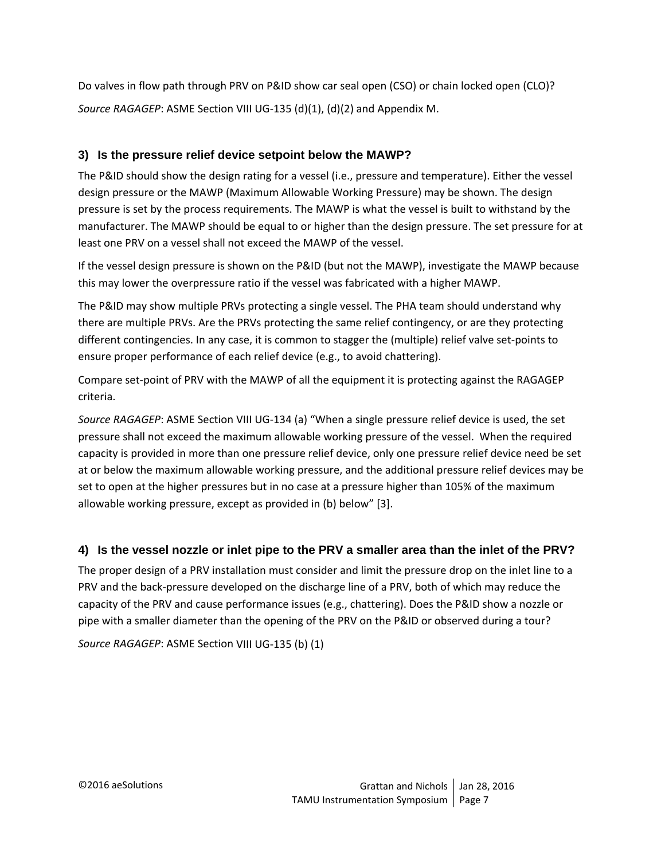Do valves in flow path through PRV on P&ID show car seal open (CSO) or chain locked open (CLO)? *Source RAGAGEP*: ASME Section VIII UG‐135 (d)(1), (d)(2) and Appendix M.

## **3) Is the pressure relief device setpoint below the MAWP?**

The P&ID should show the design rating for a vessel (i.e., pressure and temperature). Either the vessel design pressure or the MAWP (Maximum Allowable Working Pressure) may be shown. The design pressure is set by the process requirements. The MAWP is what the vessel is built to withstand by the manufacturer. The MAWP should be equal to or higher than the design pressure. The set pressure for at least one PRV on a vessel shall not exceed the MAWP of the vessel.

If the vessel design pressure is shown on the P&ID (but not the MAWP), investigate the MAWP because this may lower the overpressure ratio if the vessel was fabricated with a higher MAWP.

The P&ID may show multiple PRVs protecting a single vessel. The PHA team should understand why there are multiple PRVs. Are the PRVs protecting the same relief contingency, or are they protecting different contingencies. In any case, it is common to stagger the (multiple) relief valve set‐points to ensure proper performance of each relief device (e.g., to avoid chattering).

Compare set‐point of PRV with the MAWP of all the equipment it is protecting against the RAGAGEP criteria.

*Source RAGAGEP*: ASME Section VIII UG‐134 (a) "When a single pressure relief device is used, the set pressure shall not exceed the maximum allowable working pressure of the vessel. When the required capacity is provided in more than one pressure relief device, only one pressure relief device need be set at or below the maximum allowable working pressure, and the additional pressure relief devices may be set to open at the higher pressures but in no case at a pressure higher than 105% of the maximum allowable working pressure, except as provided in (b) below" [3].

# **4) Is the vessel nozzle or inlet pipe to the PRV a smaller area than the inlet of the PRV?**

The proper design of a PRV installation must consider and limit the pressure drop on the inlet line to a PRV and the back‐pressure developed on the discharge line of a PRV, both of which may reduce the capacity of the PRV and cause performance issues (e.g., chattering). Does the P&ID show a nozzle or pipe with a smaller diameter than the opening of the PRV on the P&ID or observed during a tour?

*Source RAGAGEP*: ASME Section VIII UG‐135 (b) (1)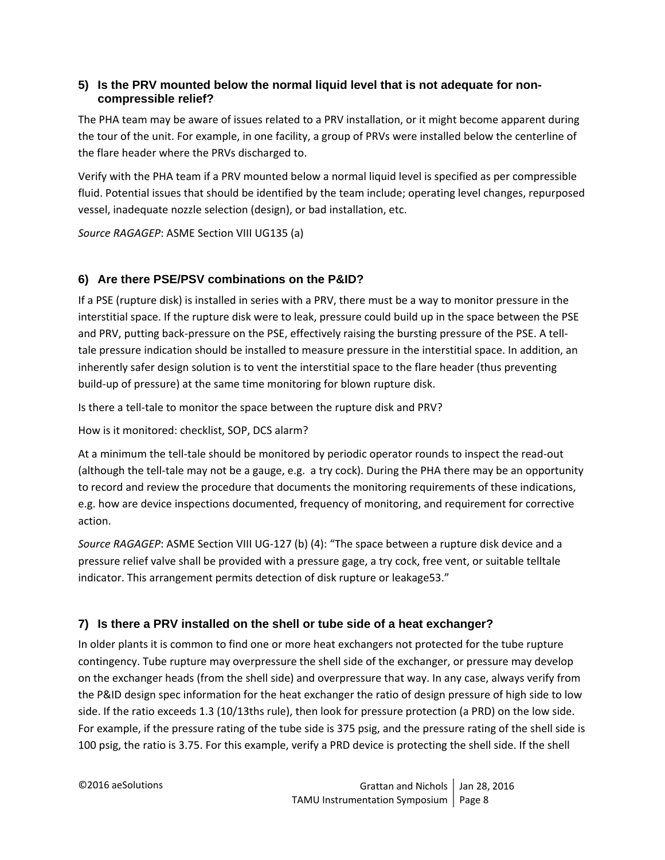## **5) Is the PRV mounted below the normal liquid level that is not adequate for noncompressible relief?**

The PHA team may be aware of issues related to a PRV installation, or it might become apparent during the tour of the unit. For example, in one facility, a group of PRVs were installed below the centerline of the flare header where the PRVs discharged to.

Verify with the PHA team if a PRV mounted below a normal liquid level is specified as per compressible fluid. Potential issues that should be identified by the team include; operating level changes, repurposed vessel, inadequate nozzle selection (design), or bad installation, etc.

*Source RAGAGEP*: ASME Section VIII UG135 (a)

# **6) Are there PSE/PSV combinations on the P&ID?**

If a PSE (rupture disk) is installed in series with a PRV, there must be a way to monitor pressure in the interstitial space. If the rupture disk were to leak, pressure could build up in the space between the PSE and PRV, putting back-pressure on the PSE, effectively raising the bursting pressure of the PSE. A telltale pressure indication should be installed to measure pressure in the interstitial space. In addition, an inherently safer design solution is to vent the interstitial space to the flare header (thus preventing build‐up of pressure) at the same time monitoring for blown rupture disk.

Is there a tell-tale to monitor the space between the rupture disk and PRV?

How is it monitored: checklist, SOP, DCS alarm?

At a minimum the tell‐tale should be monitored by periodic operator rounds to inspect the read‐out (although the tell‐tale may not be a gauge, e.g. a try cock). During the PHA there may be an opportunity to record and review the procedure that documents the monitoring requirements of these indications, e.g. how are device inspections documented, frequency of monitoring, and requirement for corrective action.

*Source RAGAGEP*: ASME Section VIII UG‐127 (b) (4): "The space between a rupture disk device and a pressure relief valve shall be provided with a pressure gage, a try cock, free vent, or suitable telltale indicator. This arrangement permits detection of disk rupture or leakage53."

## **7) Is there a PRV installed on the shell or tube side of a heat exchanger?**

In older plants it is common to find one or more heat exchangers not protected for the tube rupture contingency. Tube rupture may overpressure the shell side of the exchanger, or pressure may develop on the exchanger heads (from the shell side) and overpressure that way. In any case, always verify from the P&ID design spec information for the heat exchanger the ratio of design pressure of high side to low side. If the ratio exceeds 1.3 (10/13ths rule), then look for pressure protection (a PRD) on the low side. For example, if the pressure rating of the tube side is 375 psig, and the pressure rating of the shell side is 100 psig, the ratio is 3.75. For this example, verify a PRD device is protecting the shell side. If the shell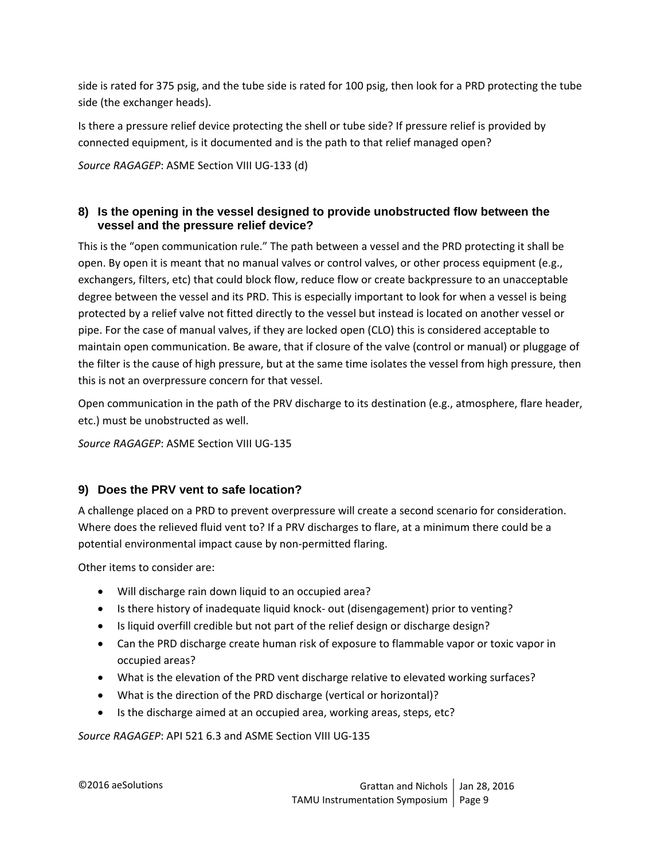side is rated for 375 psig, and the tube side is rated for 100 psig, then look for a PRD protecting the tube side (the exchanger heads).

Is there a pressure relief device protecting the shell or tube side? If pressure relief is provided by connected equipment, is it documented and is the path to that relief managed open?

*Source RAGAGEP*: ASME Section VIII UG‐133 (d)

#### **8) Is the opening in the vessel designed to provide unobstructed flow between the vessel and the pressure relief device?**

This is the "open communication rule." The path between a vessel and the PRD protecting it shall be open. By open it is meant that no manual valves or control valves, or other process equipment (e.g., exchangers, filters, etc) that could block flow, reduce flow or create backpressure to an unacceptable degree between the vessel and its PRD. This is especially important to look for when a vessel is being protected by a relief valve not fitted directly to the vessel but instead is located on another vessel or pipe. For the case of manual valves, if they are locked open (CLO) this is considered acceptable to maintain open communication. Be aware, that if closure of the valve (control or manual) or pluggage of the filter is the cause of high pressure, but at the same time isolates the vessel from high pressure, then this is not an overpressure concern for that vessel.

Open communication in the path of the PRV discharge to its destination (e.g., atmosphere, flare header, etc.) must be unobstructed as well.

*Source RAGAGEP*: ASME Section VIII UG‐135

## **9) Does the PRV vent to safe location?**

A challenge placed on a PRD to prevent overpressure will create a second scenario for consideration. Where does the relieved fluid vent to? If a PRV discharges to flare, at a minimum there could be a potential environmental impact cause by non‐permitted flaring.

Other items to consider are:

- Will discharge rain down liquid to an occupied area?
- Is there history of inadequate liquid knock- out (disengagement) prior to venting?
- Is liquid overfill credible but not part of the relief design or discharge design?
- Can the PRD discharge create human risk of exposure to flammable vapor or toxic vapor in occupied areas?
- What is the elevation of the PRD vent discharge relative to elevated working surfaces?
- What is the direction of the PRD discharge (vertical or horizontal)?
- Is the discharge aimed at an occupied area, working areas, steps, etc?

*Source RAGAGEP*: API 521 6.3 and ASME Section VIII UG‐135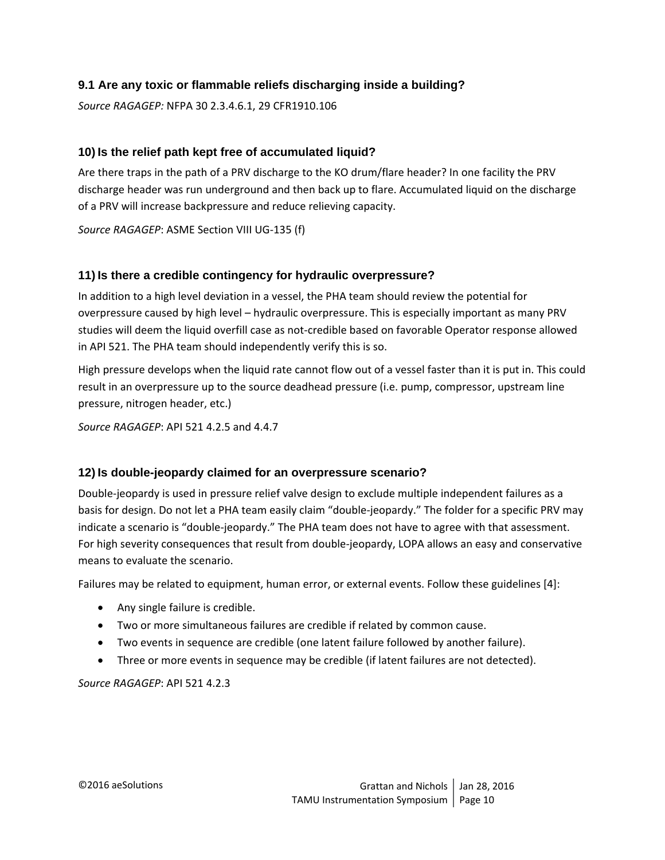## **9.1 Are any toxic or flammable reliefs discharging inside a building?**

*Source RAGAGEP:* NFPA 30 2.3.4.6.1, 29 CFR1910.106

#### **10) Is the relief path kept free of accumulated liquid?**

Are there traps in the path of a PRV discharge to the KO drum/flare header? In one facility the PRV discharge header was run underground and then back up to flare. Accumulated liquid on the discharge of a PRV will increase backpressure and reduce relieving capacity.

*Source RAGAGEP*: ASME Section VIII UG‐135 (f)

#### **11) Is there a credible contingency for hydraulic overpressure?**

In addition to a high level deviation in a vessel, the PHA team should review the potential for overpressure caused by high level – hydraulic overpressure. This is especially important as many PRV studies will deem the liquid overfill case as not‐credible based on favorable Operator response allowed in API 521. The PHA team should independently verify this is so.

High pressure develops when the liquid rate cannot flow out of a vessel faster than it is put in. This could result in an overpressure up to the source deadhead pressure (i.e. pump, compressor, upstream line pressure, nitrogen header, etc.)

*Source RAGAGEP*: API 521 4.2.5 and 4.4.7

#### **12) Is double-jeopardy claimed for an overpressure scenario?**

Double‐jeopardy is used in pressure relief valve design to exclude multiple independent failures as a basis for design. Do not let a PHA team easily claim "double‐jeopardy." The folder for a specific PRV may indicate a scenario is "double‐jeopardy." The PHA team does not have to agree with that assessment. For high severity consequences that result from double‐jeopardy, LOPA allows an easy and conservative means to evaluate the scenario.

Failures may be related to equipment, human error, or external events. Follow these guidelines [4]:

- Any single failure is credible.
- Two or more simultaneous failures are credible if related by common cause.
- Two events in sequence are credible (one latent failure followed by another failure).
- Three or more events in sequence may be credible (if latent failures are not detected).

*Source RAGAGEP*: API 521 4.2.3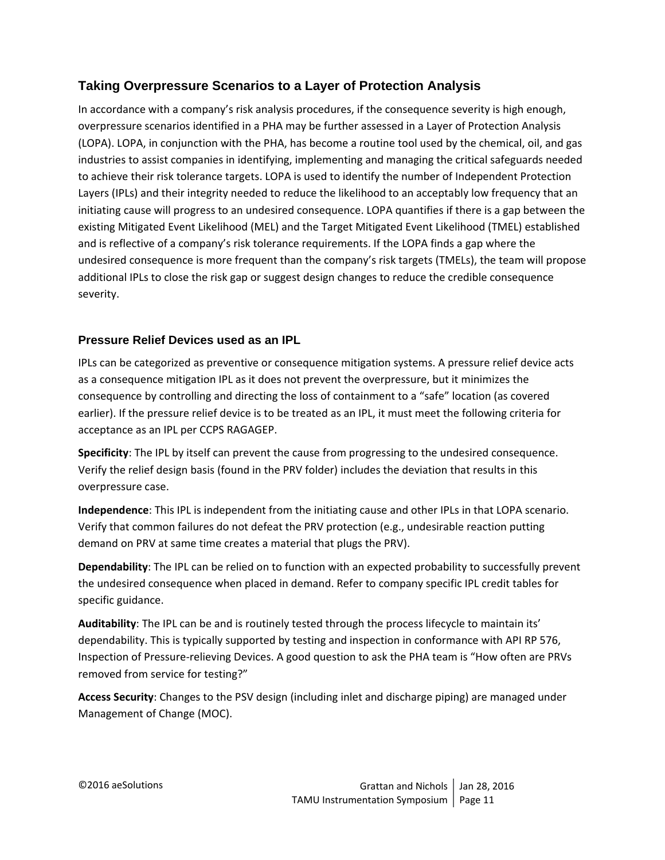# **Taking Overpressure Scenarios to a Layer of Protection Analysis**

In accordance with a company's risk analysis procedures, if the consequence severity is high enough, overpressure scenarios identified in a PHA may be further assessed in a Layer of Protection Analysis (LOPA). LOPA, in conjunction with the PHA, has become a routine tool used by the chemical, oil, and gas industries to assist companies in identifying, implementing and managing the critical safeguards needed to achieve their risk tolerance targets. LOPA is used to identify the number of Independent Protection Layers (IPLs) and their integrity needed to reduce the likelihood to an acceptably low frequency that an initiating cause will progress to an undesired consequence. LOPA quantifies if there is a gap between the existing Mitigated Event Likelihood (MEL) and the Target Mitigated Event Likelihood (TMEL) established and is reflective of a company's risk tolerance requirements. If the LOPA finds a gap where the undesired consequence is more frequent than the company's risk targets (TMELs), the team will propose additional IPLs to close the risk gap or suggest design changes to reduce the credible consequence severity.

## **Pressure Relief Devices used as an IPL**

IPLs can be categorized as preventive or consequence mitigation systems. A pressure relief device acts as a consequence mitigation IPL as it does not prevent the overpressure, but it minimizes the consequence by controlling and directing the loss of containment to a "safe" location (as covered earlier). If the pressure relief device is to be treated as an IPL, it must meet the following criteria for acceptance as an IPL per CCPS RAGAGEP.

**Specificity**: The IPL by itself can prevent the cause from progressing to the undesired consequence. Verify the relief design basis (found in the PRV folder) includes the deviation that results in this overpressure case.

**Independence**: This IPL is independent from the initiating cause and other IPLs in that LOPA scenario. Verify that common failures do not defeat the PRV protection (e.g., undesirable reaction putting demand on PRV at same time creates a material that plugs the PRV).

**Dependability**: The IPL can be relied on to function with an expected probability to successfully prevent the undesired consequence when placed in demand. Refer to company specific IPL credit tables for specific guidance.

**Auditability**: The IPL can be and is routinely tested through the process lifecycle to maintain its' dependability. This is typically supported by testing and inspection in conformance with API RP 576, Inspection of Pressure‐relieving Devices. A good question to ask the PHA team is "How often are PRVs removed from service for testing?"

**Access Security**: Changes to the PSV design (including inlet and discharge piping) are managed under Management of Change (MOC).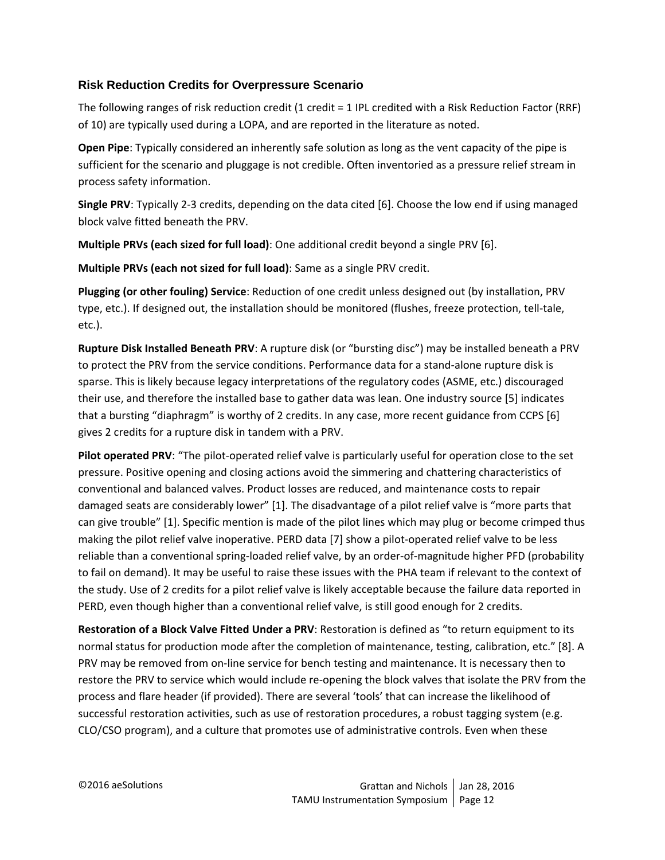#### **Risk Reduction Credits for Overpressure Scenario**

The following ranges of risk reduction credit (1 credit = 1 IPL credited with a Risk Reduction Factor (RRF) of 10) are typically used during a LOPA, and are reported in the literature as noted.

**Open Pipe**: Typically considered an inherently safe solution as long as the vent capacity of the pipe is sufficient for the scenario and pluggage is not credible. Often inventoried as a pressure relief stream in process safety information.

**Single PRV**: Typically 2‐3 credits, depending on the data cited [6]. Choose the low end if using managed block valve fitted beneath the PRV.

**Multiple PRVs (each sized for full load)**: One additional credit beyond a single PRV [6].

**Multiple PRVs (each not sized for full load)**: Same as a single PRV credit.

**Plugging (or other fouling) Service**: Reduction of one credit unless designed out (by installation, PRV type, etc.). If designed out, the installation should be monitored (flushes, freeze protection, tell‐tale, etc.).

**Rupture Disk Installed Beneath PRV**: A rupture disk (or "bursting disc") may be installed beneath a PRV to protect the PRV from the service conditions. Performance data for a stand-alone rupture disk is sparse. This is likely because legacy interpretations of the regulatory codes (ASME, etc.) discouraged their use, and therefore the installed base to gather data was lean. One industry source [5] indicates that a bursting "diaphragm" is worthy of 2 credits. In any case, more recent guidance from CCPS [6] gives 2 credits for a rupture disk in tandem with a PRV.

**Pilot operated PRV**: "The pilot‐operated relief valve is particularly useful for operation close to the set pressure. Positive opening and closing actions avoid the simmering and chattering characteristics of conventional and balanced valves. Product losses are reduced, and maintenance costs to repair damaged seats are considerably lower" [1]. The disadvantage of a pilot relief valve is "more parts that can give trouble" [1]. Specific mention is made of the pilot lines which may plug or become crimped thus making the pilot relief valve inoperative. PERD data [7] show a pilot‐operated relief valve to be less reliable than a conventional spring‐loaded relief valve, by an order‐of‐magnitude higher PFD (probability to fail on demand). It may be useful to raise these issues with the PHA team if relevant to the context of the study. Use of 2 credits for a pilot relief valve is likely acceptable because the failure data reported in PERD, even though higher than a conventional relief valve, is still good enough for 2 credits.

**Restoration of a Block Valve Fitted Under a PRV**: Restoration is defined as "to return equipment to its normal status for production mode after the completion of maintenance, testing, calibration, etc." [8]. A PRV may be removed from on-line service for bench testing and maintenance. It is necessary then to restore the PRV to service which would include re‐opening the block valves that isolate the PRV from the process and flare header (if provided). There are several 'tools' that can increase the likelihood of successful restoration activities, such as use of restoration procedures, a robust tagging system (e.g. CLO/CSO program), and a culture that promotes use of administrative controls. Even when these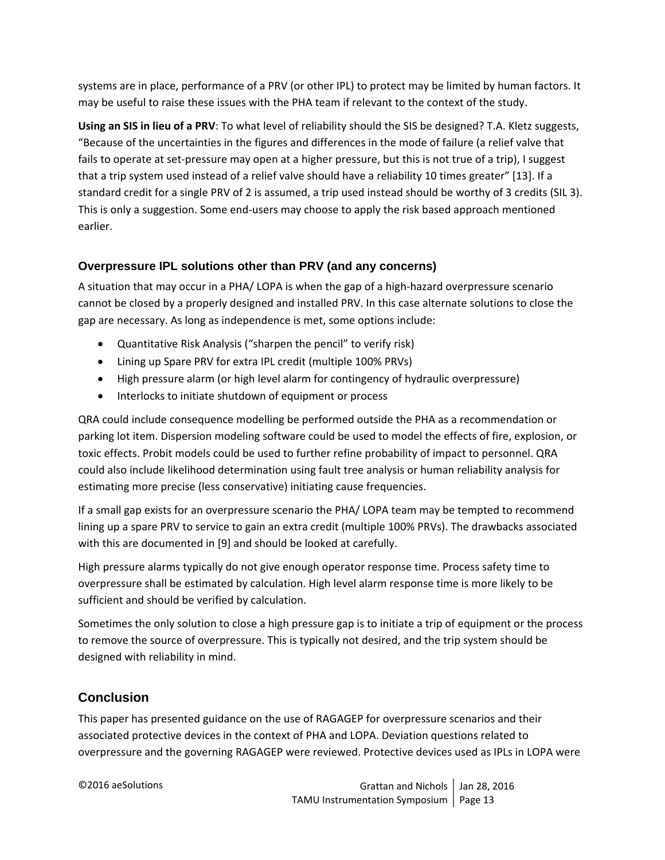systems are in place, performance of a PRV (or other IPL) to protect may be limited by human factors. It may be useful to raise these issues with the PHA team if relevant to the context of the study.

**Using an SIS in lieu of a PRV**: To what level of reliability should the SIS be designed? T.A. Kletz suggests, "Because of the uncertainties in the figures and differences in the mode of failure (a relief valve that fails to operate at set-pressure may open at a higher pressure, but this is not true of a trip), I suggest that a trip system used instead of a relief valve should have a reliability 10 times greater" [13]. If a standard credit for a single PRV of 2 is assumed, a trip used instead should be worthy of 3 credits (SIL 3). This is only a suggestion. Some end‐users may choose to apply the risk based approach mentioned earlier.

# **Overpressure IPL solutions other than PRV (and any concerns)**

A situation that may occur in a PHA/ LOPA is when the gap of a high-hazard overpressure scenario cannot be closed by a properly designed and installed PRV. In this case alternate solutions to close the gap are necessary. As long as independence is met, some options include:

- Quantitative Risk Analysis ("sharpen the pencil" to verify risk)
- Lining up Spare PRV for extra IPL credit (multiple 100% PRVs)
- High pressure alarm (or high level alarm for contingency of hydraulic overpressure)
- Interlocks to initiate shutdown of equipment or process

QRA could include consequence modelling be performed outside the PHA as a recommendation or parking lot item. Dispersion modeling software could be used to model the effects of fire, explosion, or toxic effects. Probit models could be used to further refine probability of impact to personnel. QRA could also include likelihood determination using fault tree analysis or human reliability analysis for estimating more precise (less conservative) initiating cause frequencies.

If a small gap exists for an overpressure scenario the PHA/ LOPA team may be tempted to recommend lining up a spare PRV to service to gain an extra credit (multiple 100% PRVs). The drawbacks associated with this are documented in [9] and should be looked at carefully.

High pressure alarms typically do not give enough operator response time. Process safety time to overpressure shall be estimated by calculation. High level alarm response time is more likely to be sufficient and should be verified by calculation.

Sometimes the only solution to close a high pressure gap is to initiate a trip of equipment or the process to remove the source of overpressure. This is typically not desired, and the trip system should be designed with reliability in mind.

# **Conclusion**

This paper has presented guidance on the use of RAGAGEP for overpressure scenarios and their associated protective devices in the context of PHA and LOPA. Deviation questions related to overpressure and the governing RAGAGEP were reviewed. Protective devices used as IPLs in LOPA were

©2016 aeSolutions Grattan and Nichols Jan 28, 2016 TAMU Instrumentation Symposium Page 13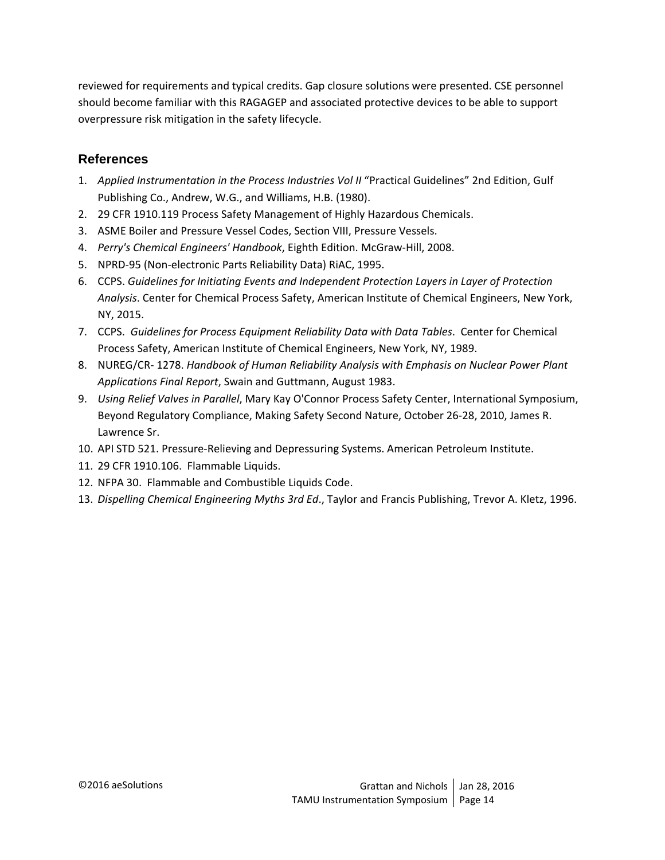reviewed for requirements and typical credits. Gap closure solutions were presented. CSE personnel should become familiar with this RAGAGEP and associated protective devices to be able to support overpressure risk mitigation in the safety lifecycle.

## **References**

- 1. *Applied Instrumentation in the Process Industries Vol II* "Practical Guidelines" 2nd Edition, Gulf Publishing Co., Andrew, W.G., and Williams, H.B. (1980).
- 2. 29 CFR 1910.119 Process Safety Management of Highly Hazardous Chemicals.
- 3. ASME Boiler and Pressure Vessel Codes, Section VIII, Pressure Vessels.
- 4. *Perry's Chemical Engineers' Handbook*, Eighth Edition. McGraw‐Hill, 2008.
- 5. NPRD‐95 (Non‐electronic Parts Reliability Data) RiAC, 1995.
- 6. CCPS. *Guidelines for Initiating Events and Independent Protection Layers in Layer of Protection Analysis*. Center for Chemical Process Safety, American Institute of Chemical Engineers, New York, NY, 2015.
- 7. CCPS. *Guidelines for Process Equipment Reliability Data with Data Tables*. Center for Chemical Process Safety, American Institute of Chemical Engineers, New York, NY, 1989.
- 8. NUREG/CR‐ 1278. *Handbook of Human Reliability Analysis with Emphasis on Nuclear Power Plant Applications Final Report*, Swain and Guttmann, August 1983.
- 9. *Using Relief Valves in Parallel*, Mary Kay O'Connor Process Safety Center, International Symposium, Beyond Regulatory Compliance, Making Safety Second Nature, October 26‐28, 2010, James R. Lawrence Sr.
- 10. API STD 521. Pressure-Relieving and Depressuring Systems. American Petroleum Institute.
- 11. 29 CFR 1910.106. Flammable Liquids.
- 12. NFPA 30. Flammable and Combustible Liquids Code.
- 13. *Dispelling Chemical Engineering Myths 3rd Ed*., Taylor and Francis Publishing, Trevor A. Kletz, 1996.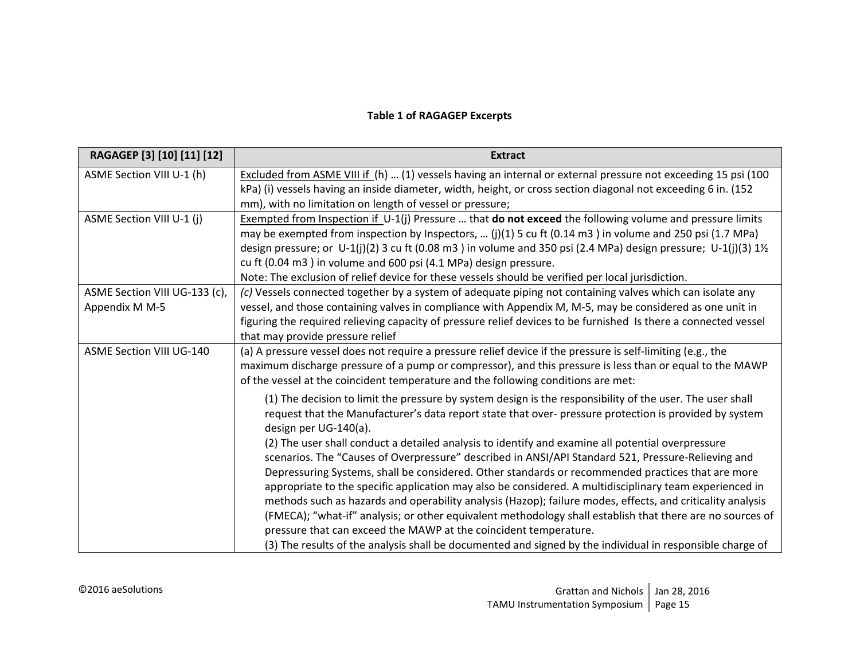#### **Table 1 of RAGAGEP Excerpts**

| RAGAGEP [3] [10] [11] [12]                      | <b>Extract</b>                                                                                                                                                                                                                                                                                                                                                                                                                                                                                                                                                                                                                                                                                                                                                                                                                                                                                                                                                                                                                                                                      |
|-------------------------------------------------|-------------------------------------------------------------------------------------------------------------------------------------------------------------------------------------------------------------------------------------------------------------------------------------------------------------------------------------------------------------------------------------------------------------------------------------------------------------------------------------------------------------------------------------------------------------------------------------------------------------------------------------------------------------------------------------------------------------------------------------------------------------------------------------------------------------------------------------------------------------------------------------------------------------------------------------------------------------------------------------------------------------------------------------------------------------------------------------|
| ASME Section VIII U-1 (h)                       | Excluded from ASME VIII if (h)  (1) vessels having an internal or external pressure not exceeding 15 psi (100<br>kPa) (i) vessels having an inside diameter, width, height, or cross section diagonal not exceeding 6 in. (152<br>mm), with no limitation on length of vessel or pressure;                                                                                                                                                                                                                                                                                                                                                                                                                                                                                                                                                                                                                                                                                                                                                                                          |
| ASME Section VIII U-1 (j)                       | Exempted from Inspection if $U-1(j)$ Pressure  that <b>do not exceed</b> the following volume and pressure limits<br>may be exempted from inspection by Inspectors, $(j)(1)$ 5 cu ft $(0.14 \text{ m}^3)$ in volume and 250 psi $(1.7 \text{ MPa})$<br>design pressure; or U-1(j)(2) 3 cu ft (0.08 m3) in volume and 350 psi (2.4 MPa) design pressure; U-1(j)(3) 1½<br>cu ft (0.04 m3) in volume and 600 psi (4.1 MPa) design pressure.<br>Note: The exclusion of relief device for these vessels should be verified per local jurisdiction.                                                                                                                                                                                                                                                                                                                                                                                                                                                                                                                                       |
| ASME Section VIII UG-133 (c),<br>Appendix M M-5 | (c) Vessels connected together by a system of adequate piping not containing valves which can isolate any<br>vessel, and those containing valves in compliance with Appendix M, M-5, may be considered as one unit in<br>figuring the required relieving capacity of pressure relief devices to be furnished Is there a connected vessel<br>that may provide pressure relief                                                                                                                                                                                                                                                                                                                                                                                                                                                                                                                                                                                                                                                                                                        |
| <b>ASME Section VIII UG-140</b>                 | (a) A pressure vessel does not require a pressure relief device if the pressure is self-limiting (e.g., the<br>maximum discharge pressure of a pump or compressor), and this pressure is less than or equal to the MAWP<br>of the vessel at the coincident temperature and the following conditions are met:                                                                                                                                                                                                                                                                                                                                                                                                                                                                                                                                                                                                                                                                                                                                                                        |
|                                                 | (1) The decision to limit the pressure by system design is the responsibility of the user. The user shall<br>request that the Manufacturer's data report state that over- pressure protection is provided by system<br>design per UG-140(a).<br>(2) The user shall conduct a detailed analysis to identify and examine all potential overpressure<br>scenarios. The "Causes of Overpressure" described in ANSI/API Standard 521, Pressure-Relieving and<br>Depressuring Systems, shall be considered. Other standards or recommended practices that are more<br>appropriate to the specific application may also be considered. A multidisciplinary team experienced in<br>methods such as hazards and operability analysis (Hazop); failure modes, effects, and criticality analysis<br>(FMECA); "what-if" analysis; or other equivalent methodology shall establish that there are no sources of<br>pressure that can exceed the MAWP at the coincident temperature.<br>(3) The results of the analysis shall be documented and signed by the individual in responsible charge of |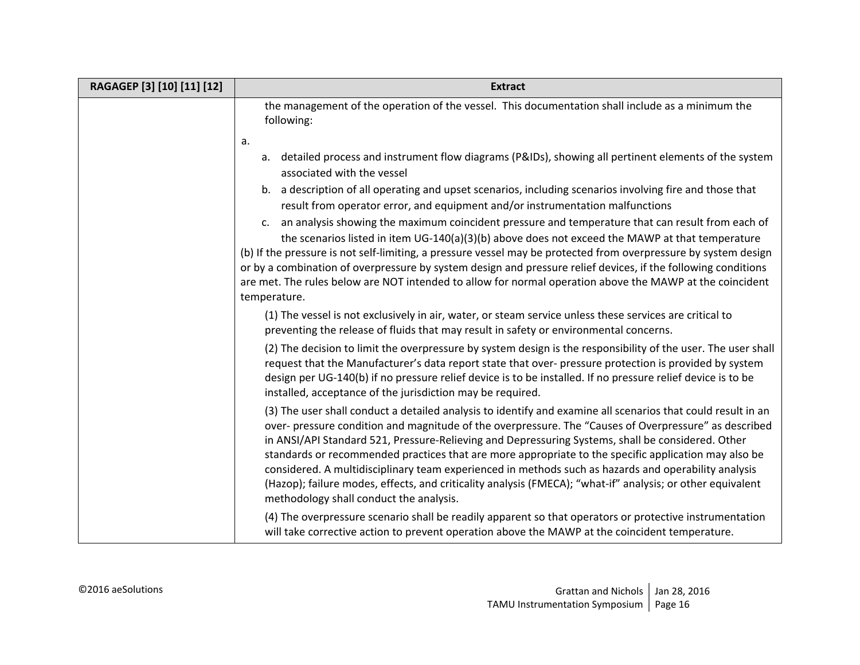| RAGAGEP [3] [10] [11] [12] | <b>Extract</b>                                                                                                                                                                                                                                                                                                                                                                                                                                                                                                                                                                                                                                                                                      |
|----------------------------|-----------------------------------------------------------------------------------------------------------------------------------------------------------------------------------------------------------------------------------------------------------------------------------------------------------------------------------------------------------------------------------------------------------------------------------------------------------------------------------------------------------------------------------------------------------------------------------------------------------------------------------------------------------------------------------------------------|
|                            | the management of the operation of the vessel. This documentation shall include as a minimum the<br>following:<br>a.                                                                                                                                                                                                                                                                                                                                                                                                                                                                                                                                                                                |
|                            | a. detailed process and instrument flow diagrams (P&IDs), showing all pertinent elements of the system<br>associated with the vessel<br>b. a description of all operating and upset scenarios, including scenarios involving fire and those that                                                                                                                                                                                                                                                                                                                                                                                                                                                    |
|                            | result from operator error, and equipment and/or instrumentation malfunctions<br>an analysis showing the maximum coincident pressure and temperature that can result from each of<br>c.                                                                                                                                                                                                                                                                                                                                                                                                                                                                                                             |
|                            | the scenarios listed in item UG-140(a)(3)(b) above does not exceed the MAWP at that temperature<br>(b) If the pressure is not self-limiting, a pressure vessel may be protected from overpressure by system design<br>or by a combination of overpressure by system design and pressure relief devices, if the following conditions<br>are met. The rules below are NOT intended to allow for normal operation above the MAWP at the coincident<br>temperature.                                                                                                                                                                                                                                     |
|                            | (1) The vessel is not exclusively in air, water, or steam service unless these services are critical to<br>preventing the release of fluids that may result in safety or environmental concerns.                                                                                                                                                                                                                                                                                                                                                                                                                                                                                                    |
|                            | (2) The decision to limit the overpressure by system design is the responsibility of the user. The user shall<br>request that the Manufacturer's data report state that over- pressure protection is provided by system<br>design per UG-140(b) if no pressure relief device is to be installed. If no pressure relief device is to be<br>installed, acceptance of the jurisdiction may be required.                                                                                                                                                                                                                                                                                                |
|                            | (3) The user shall conduct a detailed analysis to identify and examine all scenarios that could result in an<br>over- pressure condition and magnitude of the overpressure. The "Causes of Overpressure" as described<br>in ANSI/API Standard 521, Pressure-Relieving and Depressuring Systems, shall be considered. Other<br>standards or recommended practices that are more appropriate to the specific application may also be<br>considered. A multidisciplinary team experienced in methods such as hazards and operability analysis<br>(Hazop); failure modes, effects, and criticality analysis (FMECA); "what-if" analysis; or other equivalent<br>methodology shall conduct the analysis. |
|                            | (4) The overpressure scenario shall be readily apparent so that operators or protective instrumentation<br>will take corrective action to prevent operation above the MAWP at the coincident temperature.                                                                                                                                                                                                                                                                                                                                                                                                                                                                                           |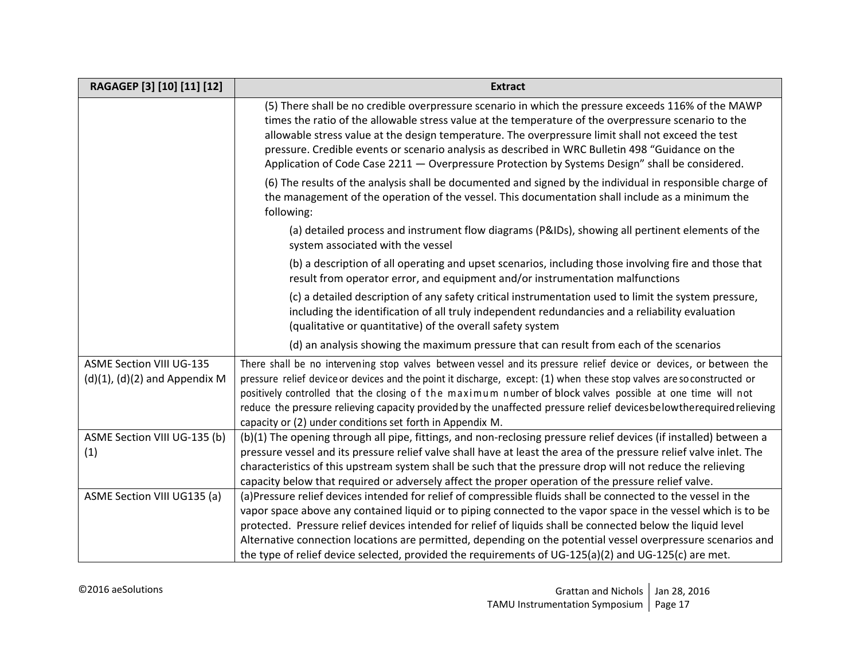| RAGAGEP [3] [10] [11] [12]                                            | <b>Extract</b>                                                                                                                                                                                                                                                                                                                                                                                                                                                                                                                                 |
|-----------------------------------------------------------------------|------------------------------------------------------------------------------------------------------------------------------------------------------------------------------------------------------------------------------------------------------------------------------------------------------------------------------------------------------------------------------------------------------------------------------------------------------------------------------------------------------------------------------------------------|
|                                                                       | (5) There shall be no credible overpressure scenario in which the pressure exceeds 116% of the MAWP<br>times the ratio of the allowable stress value at the temperature of the overpressure scenario to the<br>allowable stress value at the design temperature. The overpressure limit shall not exceed the test<br>pressure. Credible events or scenario analysis as described in WRC Bulletin 498 "Guidance on the<br>Application of Code Case 2211 - Overpressure Protection by Systems Design" shall be considered.                       |
|                                                                       | (6) The results of the analysis shall be documented and signed by the individual in responsible charge of<br>the management of the operation of the vessel. This documentation shall include as a minimum the<br>following:                                                                                                                                                                                                                                                                                                                    |
|                                                                       | (a) detailed process and instrument flow diagrams (P&IDs), showing all pertinent elements of the<br>system associated with the vessel                                                                                                                                                                                                                                                                                                                                                                                                          |
|                                                                       | (b) a description of all operating and upset scenarios, including those involving fire and those that<br>result from operator error, and equipment and/or instrumentation malfunctions                                                                                                                                                                                                                                                                                                                                                         |
|                                                                       | (c) a detailed description of any safety critical instrumentation used to limit the system pressure,<br>including the identification of all truly independent redundancies and a reliability evaluation<br>(qualitative or quantitative) of the overall safety system                                                                                                                                                                                                                                                                          |
|                                                                       | (d) an analysis showing the maximum pressure that can result from each of the scenarios                                                                                                                                                                                                                                                                                                                                                                                                                                                        |
| <b>ASME Section VIII UG-135</b><br>$(d)(1)$ , $(d)(2)$ and Appendix M | There shall be no intervening stop valves between vessel and its pressure relief device or devices, or between the<br>pressure relief device or devices and the point it discharge, except: (1) when these stop valves are so constructed or<br>positively controlled that the closing of the maximum number of block valves possible at one time will not<br>reduce the pressure relieving capacity provided by the unaffected pressure relief devicesbelowtherequired relieving<br>capacity or (2) under conditions set forth in Appendix M. |
| ASME Section VIII UG-135 (b)<br>(1)                                   | (b)(1) The opening through all pipe, fittings, and non-reclosing pressure relief devices (if installed) between a<br>pressure vessel and its pressure relief valve shall have at least the area of the pressure relief valve inlet. The<br>characteristics of this upstream system shall be such that the pressure drop will not reduce the relieving                                                                                                                                                                                          |
|                                                                       | capacity below that required or adversely affect the proper operation of the pressure relief valve.                                                                                                                                                                                                                                                                                                                                                                                                                                            |
| ASME Section VIII UG135 (a)                                           | (a)Pressure relief devices intended for relief of compressible fluids shall be connected to the vessel in the                                                                                                                                                                                                                                                                                                                                                                                                                                  |
|                                                                       | vapor space above any contained liquid or to piping connected to the vapor space in the vessel which is to be                                                                                                                                                                                                                                                                                                                                                                                                                                  |
|                                                                       | protected. Pressure relief devices intended for relief of liquids shall be connected below the liquid level<br>Alternative connection locations are permitted, depending on the potential vessel overpressure scenarios and                                                                                                                                                                                                                                                                                                                    |
|                                                                       | the type of relief device selected, provided the requirements of UG-125(a)(2) and UG-125(c) are met.                                                                                                                                                                                                                                                                                                                                                                                                                                           |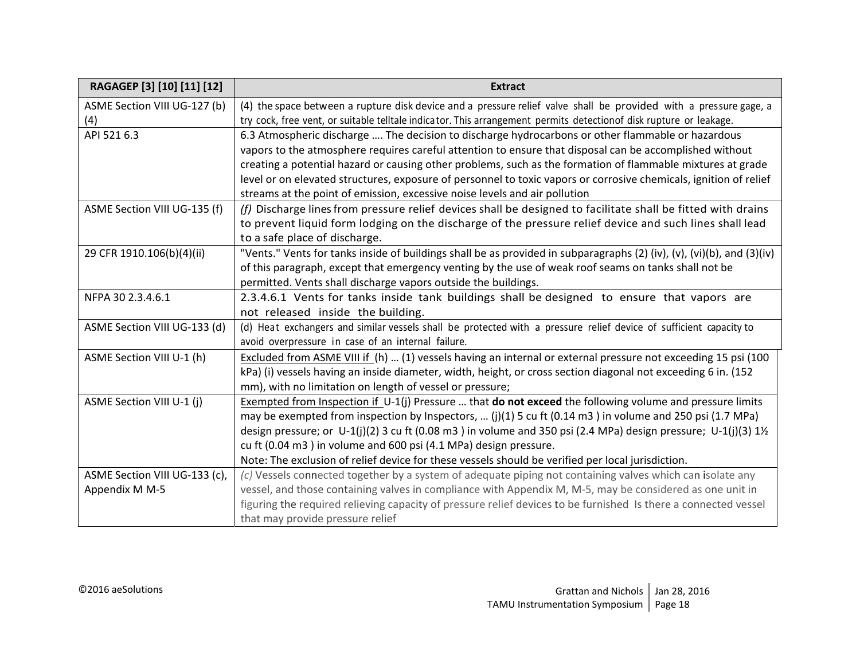| RAGAGEP [3] [10] [11] [12]    | <b>Extract</b>                                                                                                                 |
|-------------------------------|--------------------------------------------------------------------------------------------------------------------------------|
| ASME Section VIII UG-127 (b)  | (4) the space between a rupture disk device and a pressure relief valve shall be provided with a pressure gage, a              |
| (4)                           | try cock, free vent, or suitable telltale indicator. This arrangement permits detectionof disk rupture or leakage.             |
| API 521 6.3                   | 6.3 Atmospheric discharge  The decision to discharge hydrocarbons or other flammable or hazardous                              |
|                               | vapors to the atmosphere requires careful attention to ensure that disposal can be accomplished without                        |
|                               | creating a potential hazard or causing other problems, such as the formation of flammable mixtures at grade                    |
|                               | level or on elevated structures, exposure of personnel to toxic vapors or corrosive chemicals, ignition of relief              |
|                               | streams at the point of emission, excessive noise levels and air pollution                                                     |
| ASME Section VIII UG-135 (f)  | (f) Discharge lines from pressure relief devices shall be designed to facilitate shall be fitted with drains                   |
|                               | to prevent liquid form lodging on the discharge of the pressure relief device and such lines shall lead                        |
|                               | to a safe place of discharge.                                                                                                  |
| 29 CFR 1910.106(b)(4)(ii)     | "Vents." Vents for tanks inside of buildings shall be as provided in subparagraphs (2) (iv), (v), (vi)(b), and (3)(iv)         |
|                               | of this paragraph, except that emergency venting by the use of weak roof seams on tanks shall not be                           |
|                               | permitted. Vents shall discharge vapors outside the buildings.                                                                 |
| NFPA 30 2.3.4.6.1             | 2.3.4.6.1 Vents for tanks inside tank buildings shall be designed to ensure that vapors are                                    |
|                               | not released inside the building.                                                                                              |
| ASME Section VIII UG-133 (d)  | (d) Heat exchangers and similar vessels shall be protected with a pressure relief device of sufficient capacity to             |
|                               | avoid overpressure in case of an internal failure.                                                                             |
| ASME Section VIII U-1 (h)     | Excluded from ASME VIII if (h)  (1) vessels having an internal or external pressure not exceeding 15 psi (100                  |
|                               | kPa) (i) vessels having an inside diameter, width, height, or cross section diagonal not exceeding 6 in. (152                  |
|                               | mm), with no limitation on length of vessel or pressure;                                                                       |
| ASME Section VIII U-1 (j)     | Exempted from Inspection if $U-1(j)$ Pressure  that <b>do not exceed</b> the following volume and pressure limits              |
|                               | may be exempted from inspection by Inspectors, $(j)(1)$ 5 cu ft $(0.14 \text{ m}^3)$ in volume and 250 psi $(1.7 \text{ MPa})$ |
|                               | design pressure; or U-1(j)(2) 3 cu ft (0.08 m3) in volume and 350 psi (2.4 MPa) design pressure; U-1(j)(3) 11/2                |
|                               | cu ft (0.04 m3) in volume and 600 psi (4.1 MPa) design pressure.                                                               |
|                               | Note: The exclusion of relief device for these vessels should be verified per local jurisdiction.                              |
| ASME Section VIII UG-133 (c), | $(c)$ Vessels connected together by a system of adequate piping not containing valves which can isolate any                    |
| Appendix M M-5                | vessel, and those containing valves in compliance with Appendix M, M-5, may be considered as one unit in                       |
|                               | figuring the required relieving capacity of pressure relief devices to be furnished Is there a connected vessel                |
|                               | that may provide pressure relief                                                                                               |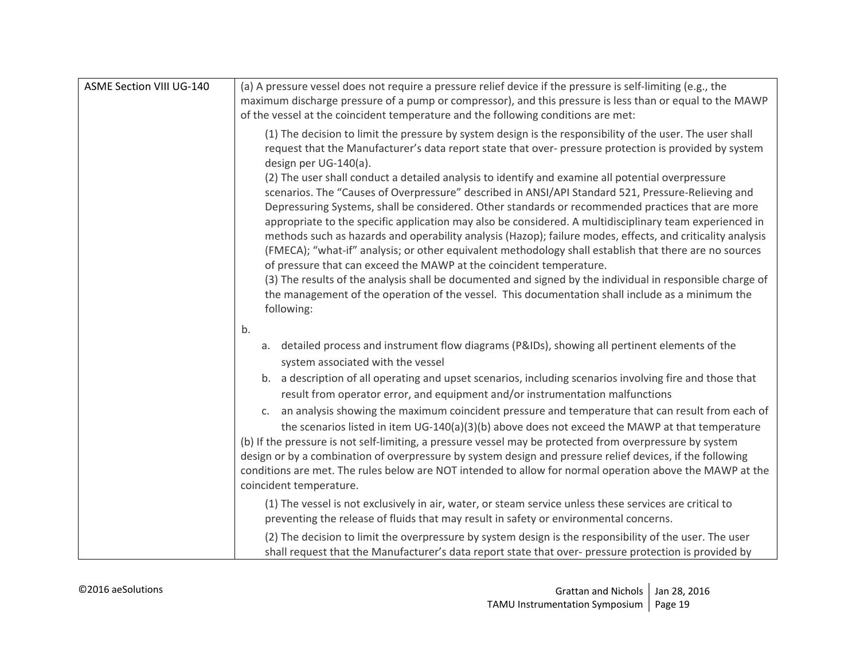| <b>ASME Section VIII UG-140</b> | (a) A pressure vessel does not require a pressure relief device if the pressure is self-limiting (e.g., the<br>maximum discharge pressure of a pump or compressor), and this pressure is less than or equal to the MAWP                                                                                                                                                                                                                                                                                                                                                                                                                                                                                                                                                                                                                                                                                                                               |
|---------------------------------|-------------------------------------------------------------------------------------------------------------------------------------------------------------------------------------------------------------------------------------------------------------------------------------------------------------------------------------------------------------------------------------------------------------------------------------------------------------------------------------------------------------------------------------------------------------------------------------------------------------------------------------------------------------------------------------------------------------------------------------------------------------------------------------------------------------------------------------------------------------------------------------------------------------------------------------------------------|
|                                 | of the vessel at the coincident temperature and the following conditions are met:<br>(1) The decision to limit the pressure by system design is the responsibility of the user. The user shall<br>request that the Manufacturer's data report state that over- pressure protection is provided by system<br>design per UG-140(a).                                                                                                                                                                                                                                                                                                                                                                                                                                                                                                                                                                                                                     |
|                                 | (2) The user shall conduct a detailed analysis to identify and examine all potential overpressure<br>scenarios. The "Causes of Overpressure" described in ANSI/API Standard 521, Pressure-Relieving and<br>Depressuring Systems, shall be considered. Other standards or recommended practices that are more<br>appropriate to the specific application may also be considered. A multidisciplinary team experienced in<br>methods such as hazards and operability analysis (Hazop); failure modes, effects, and criticality analysis<br>(FMECA); "what-if" analysis; or other equivalent methodology shall establish that there are no sources<br>of pressure that can exceed the MAWP at the coincident temperature.<br>(3) The results of the analysis shall be documented and signed by the individual in responsible charge of<br>the management of the operation of the vessel. This documentation shall include as a minimum the<br>following: |
|                                 | b.<br>a. detailed process and instrument flow diagrams (P&IDs), showing all pertinent elements of the                                                                                                                                                                                                                                                                                                                                                                                                                                                                                                                                                                                                                                                                                                                                                                                                                                                 |
|                                 | system associated with the vessel                                                                                                                                                                                                                                                                                                                                                                                                                                                                                                                                                                                                                                                                                                                                                                                                                                                                                                                     |
|                                 | b. a description of all operating and upset scenarios, including scenarios involving fire and those that<br>result from operator error, and equipment and/or instrumentation malfunctions                                                                                                                                                                                                                                                                                                                                                                                                                                                                                                                                                                                                                                                                                                                                                             |
|                                 | c. an analysis showing the maximum coincident pressure and temperature that can result from each of<br>the scenarios listed in item UG-140(a)(3)(b) above does not exceed the MAWP at that temperature<br>(b) If the pressure is not self-limiting, a pressure vessel may be protected from overpressure by system<br>design or by a combination of overpressure by system design and pressure relief devices, if the following<br>conditions are met. The rules below are NOT intended to allow for normal operation above the MAWP at the<br>coincident temperature.                                                                                                                                                                                                                                                                                                                                                                                |
|                                 | (1) The vessel is not exclusively in air, water, or steam service unless these services are critical to<br>preventing the release of fluids that may result in safety or environmental concerns.                                                                                                                                                                                                                                                                                                                                                                                                                                                                                                                                                                                                                                                                                                                                                      |
|                                 | (2) The decision to limit the overpressure by system design is the responsibility of the user. The user<br>shall request that the Manufacturer's data report state that over- pressure protection is provided by                                                                                                                                                                                                                                                                                                                                                                                                                                                                                                                                                                                                                                                                                                                                      |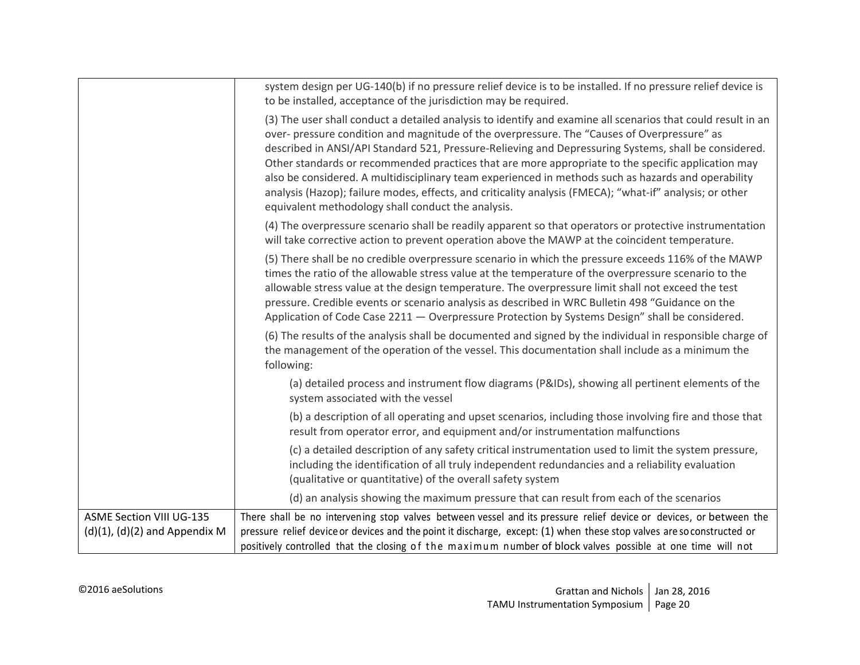|                                                                       | system design per UG-140(b) if no pressure relief device is to be installed. If no pressure relief device is<br>to be installed, acceptance of the jurisdiction may be required.                                                                                                                                                                                                                                                                                                                                                                                                                                                                                                                    |
|-----------------------------------------------------------------------|-----------------------------------------------------------------------------------------------------------------------------------------------------------------------------------------------------------------------------------------------------------------------------------------------------------------------------------------------------------------------------------------------------------------------------------------------------------------------------------------------------------------------------------------------------------------------------------------------------------------------------------------------------------------------------------------------------|
|                                                                       | (3) The user shall conduct a detailed analysis to identify and examine all scenarios that could result in an<br>over- pressure condition and magnitude of the overpressure. The "Causes of Overpressure" as<br>described in ANSI/API Standard 521, Pressure-Relieving and Depressuring Systems, shall be considered.<br>Other standards or recommended practices that are more appropriate to the specific application may<br>also be considered. A multidisciplinary team experienced in methods such as hazards and operability<br>analysis (Hazop); failure modes, effects, and criticality analysis (FMECA); "what-if" analysis; or other<br>equivalent methodology shall conduct the analysis. |
|                                                                       | (4) The overpressure scenario shall be readily apparent so that operators or protective instrumentation<br>will take corrective action to prevent operation above the MAWP at the coincident temperature.                                                                                                                                                                                                                                                                                                                                                                                                                                                                                           |
|                                                                       | (5) There shall be no credible overpressure scenario in which the pressure exceeds 116% of the MAWP<br>times the ratio of the allowable stress value at the temperature of the overpressure scenario to the<br>allowable stress value at the design temperature. The overpressure limit shall not exceed the test<br>pressure. Credible events or scenario analysis as described in WRC Bulletin 498 "Guidance on the<br>Application of Code Case 2211 - Overpressure Protection by Systems Design" shall be considered.                                                                                                                                                                            |
|                                                                       | (6) The results of the analysis shall be documented and signed by the individual in responsible charge of<br>the management of the operation of the vessel. This documentation shall include as a minimum the<br>following:                                                                                                                                                                                                                                                                                                                                                                                                                                                                         |
|                                                                       | (a) detailed process and instrument flow diagrams (P&IDs), showing all pertinent elements of the<br>system associated with the vessel                                                                                                                                                                                                                                                                                                                                                                                                                                                                                                                                                               |
|                                                                       | (b) a description of all operating and upset scenarios, including those involving fire and those that<br>result from operator error, and equipment and/or instrumentation malfunctions                                                                                                                                                                                                                                                                                                                                                                                                                                                                                                              |
|                                                                       | (c) a detailed description of any safety critical instrumentation used to limit the system pressure,<br>including the identification of all truly independent redundancies and a reliability evaluation<br>(qualitative or quantitative) of the overall safety system                                                                                                                                                                                                                                                                                                                                                                                                                               |
|                                                                       | (d) an analysis showing the maximum pressure that can result from each of the scenarios                                                                                                                                                                                                                                                                                                                                                                                                                                                                                                                                                                                                             |
| <b>ASME Section VIII UG-135</b><br>$(d)(1)$ , $(d)(2)$ and Appendix M | There shall be no intervening stop valves between vessel and its pressure relief device or devices, or between the<br>pressure relief device or devices and the point it discharge, except: (1) when these stop valves are so constructed or<br>positively controlled that the closing of the maximum number of block valves possible at one time will not                                                                                                                                                                                                                                                                                                                                          |